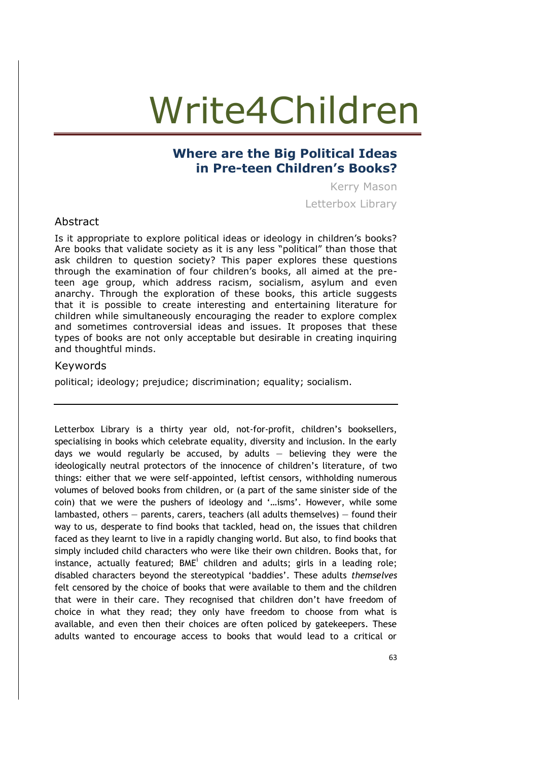#### **Where are the Big Political Ideas in Pre-teen Children's Books?**

Kerry Mason Letterbox Library

#### Abstract

Is it appropriate to explore political ideas or ideology in children's books? Are books that validate society as it is any less "political" than those that ask children to question society? This paper explores these questions through the examination of four children's books, all aimed at the preteen age group, which address racism, socialism, asylum and even anarchy. Through the exploration of these books, this article suggests that it is possible to create interesting and entertaining literature for children while simultaneously encouraging the reader to explore complex and sometimes controversial ideas and issues. It proposes that these types of books are not only acceptable but desirable in creating inquiring and thoughtful minds.

#### Keywords

political; ideology; prejudice; discrimination; equality; socialism.

Letterbox Library is a thirty year old, not-for-profit, children's booksellers, specialising in books which celebrate equality, diversity and inclusion. In the early days we would regularly be accused, by adults  $-$  believing they were the ideologically neutral protectors of the innocence of children's literature, of two things: either that we were self-appointed, leftist censors, withholding numerous volumes of beloved books from children, or (a part of the same sinister side of the coin) that we were the pushers of ideology and '…isms'. However, while some lambasted, others — parents, carers, teachers (all adults themselves) — found their way to us, desperate to find books that tackled, head on, the issues that children faced as they learnt to live in a rapidly changing world. But also, to find books that simply included child characters who were like their own children. Books that, for instance, actually featured; BME<sup>i</sup> children and adults; girls in a leading role; disabled characters beyond the stereotypical 'baddies'. These adults *themselves* felt censored by the choice of books that were available to them and the children that were in their care. They recognised that children don't have freedom of choice in what they read; they only have freedom to choose from what is available, and even then their choices are often policed by gatekeepers. These adults wanted to encourage access to books that would lead to a critical or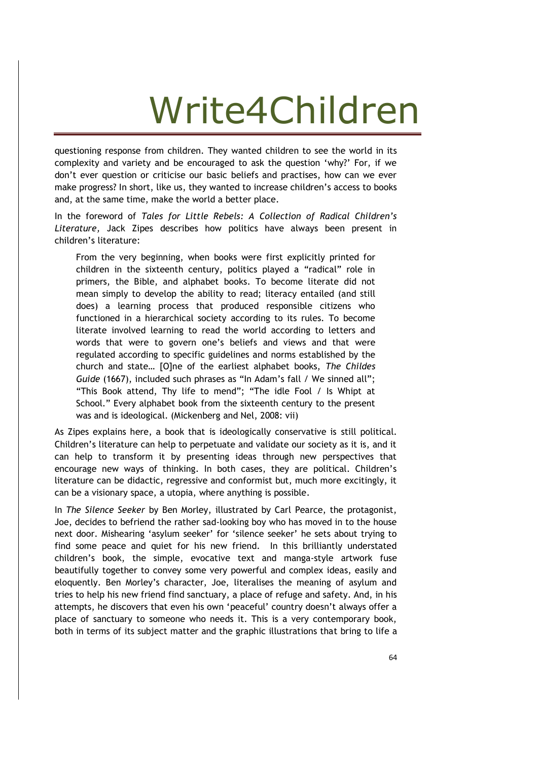questioning response from children. They wanted children to see the world in its complexity and variety and be encouraged to ask the question 'why?' For, if we don't ever question or criticise our basic beliefs and practises, how can we ever make progress? In short, like us, they wanted to increase children's access to books and, at the same time, make the world a better place.

In the foreword of *Tales for Little Rebels: A Collection of Radical Children's Literature,* Jack Zipes describes how politics have always been present in children's literature:

From the very beginning, when books were first explicitly printed for children in the sixteenth century, politics played a "radical" role in primers, the Bible, and alphabet books. To become literate did not mean simply to develop the ability to read; literacy entailed (and still does) a learning process that produced responsible citizens who functioned in a hierarchical society according to its rules. To become literate involved learning to read the world according to letters and words that were to govern one's beliefs and views and that were regulated according to specific guidelines and norms established by the church and state… [O]ne of the earliest alphabet books, *The Childes Guide* (1667), included such phrases as "In Adam's fall / We sinned all"; "This Book attend, Thy life to mend"; "The idle Fool / Is Whipt at School." Every alphabet book from the sixteenth century to the present was and is ideological. (Mickenberg and Nel, 2008: vii)

As Zipes explains here, a book that is ideologically conservative is still political. Children's literature can help to perpetuate and validate our society as it is, and it can help to transform it by presenting ideas through new perspectives that encourage new ways of thinking. In both cases, they are political. Children's literature can be didactic, regressive and conformist but, much more excitingly, it can be a visionary space, a utopia, where anything is possible.

In *The Silence Seeker* by Ben Morley, illustrated by Carl Pearce, the protagonist, Joe, decides to befriend the rather sad-looking boy who has moved in to the house next door. Mishearing 'asylum seeker' for 'silence seeker' he sets about trying to find some peace and quiet for his new friend. In this brilliantly understated children's book, the simple, evocative text and manga-style artwork fuse beautifully together to convey some very powerful and complex ideas, easily and eloquently. Ben Morley's character, Joe, literalises the meaning of asylum and tries to help his new friend find sanctuary, a place of refuge and safety. And, in his attempts, he discovers that even his own 'peaceful' country doesn't always offer a place of sanctuary to someone who needs it. This is a very contemporary book, both in terms of its subject matter and the graphic illustrations that bring to life a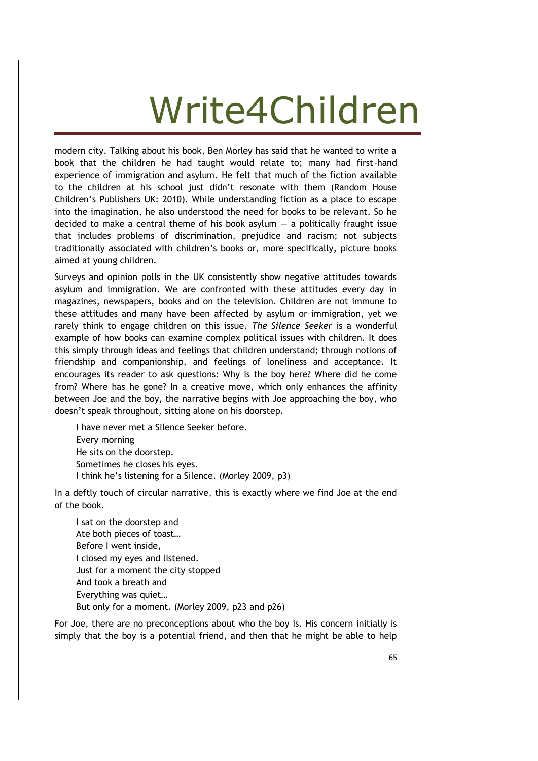modern city. Talking about his book, Ben Morley has said that he wanted to write a book that the children he had taught would relate to; many had first-hand experience of immigration and asylum. He felt that much of the fiction available to the children at his school just didn't resonate with them (Random House Children's Publishers UK: 2010). While understanding fiction as a place to escape into the imagination, he also understood the need for books to be relevant. So he decided to make a central theme of his book asylum  $-$  a politically fraught issue that includes problems of discrimination, prejudice and racism; not subjects traditionally associated with children's books or, more specifically, picture books aimed at young children.

Surveys and opinion polls in the UK consistently show negative attitudes towards asylum and immigration. We are confronted with these attitudes every day in magazines, newspapers, books and on the television. Children are not immune to these attitudes and many have been affected by asylum or immigration, yet we rarely think to engage children on this issue. *The Silence Seeker* is a wonderful example of how books can examine complex political issues with children. It does this simply through ideas and feelings that children understand; through notions of friendship and companionship, and feelings of loneliness and acceptance. It encourages its reader to ask questions: Why is the boy here? Where did he come from? Where has he gone? In a creative move, which only enhances the affinity between Joe and the boy, the narrative begins with Joe approaching the boy, who doesn't speak throughout, sitting alone on his doorstep.

I have never met a Silence Seeker before. Every morning He sits on the doorstep. Sometimes he closes his eyes. I think he's listening for a Silence. (Morley 2009, p3)

In a deftly touch of circular narrative, this is exactly where we find Joe at the end of the book.

I sat on the doorstep and Ate both pieces of toast… Before I went inside, I closed my eyes and listened. Just for a moment the city stopped And took a breath and Everything was quiet… But only for a moment. (Morley 2009, p23 and p26)

For Joe, there are no preconceptions about who the boy is. His concern initially is simply that the boy is a potential friend, and then that he might be able to help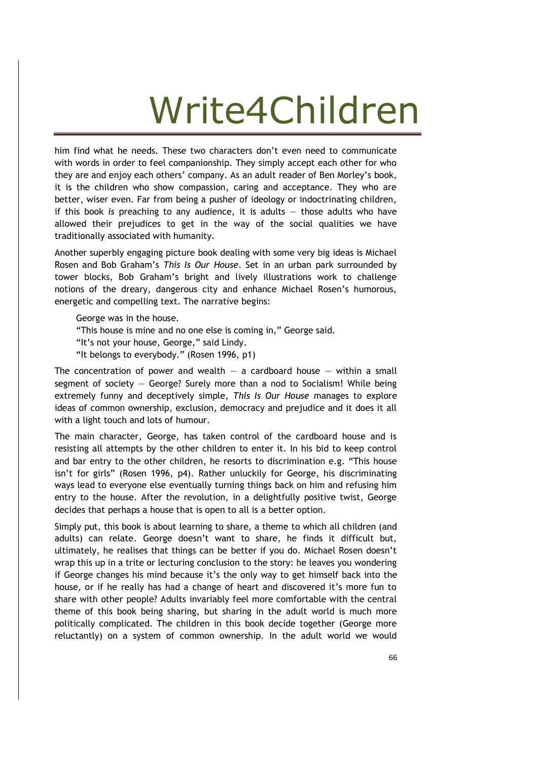him find what he needs. These two characters don't even need to communicate with words in order to feel companionship. They simply accept each other for who they are and enjoy each others' company. As an adult reader of Ben Morley's book, it is the children who show compassion, caring and acceptance. They who are better, wiser even. Far from being a pusher of ideology or indoctrinating children, if this book *is* preaching to any audience, it is adults — those adults who have allowed their prejudices to get in the way of the social qualities we have traditionally associated with humanity.

Another superbly engaging picture book dealing with some very big ideas is Michael Rosen and Bob Graham's *This Is Our House*. Set in an urban park surrounded by tower blocks, Bob Graham's bright and lively illustrations work to challenge notions of the dreary, dangerous city and enhance Michael Rosen's humorous, energetic and compelling text. The narrative begins:

George was in the house.

- "This house is mine and no one else is coming in," George said.
- "It's not your house, George," said Lindy.
- "It belongs to everybody." (Rosen 1996, p1)

The concentration of power and wealth  $-$  a cardboard house  $-$  within a small segment of society — George? Surely more than a nod to Socialism! While being extremely funny and deceptively simple, *This Is Our House* manages to explore ideas of common ownership, exclusion, democracy and prejudice and it does it all with a light touch and lots of humour.

The main character, George, has taken control of the cardboard house and is resisting all attempts by the other children to enter it. In his bid to keep control and bar entry to the other children, he resorts to discrimination e.g. "This house isn't for girls" (Rosen 1996, p4). Rather unluckily for George, his discriminating ways lead to everyone else eventually turning things back on him and refusing him entry to the house. After the revolution, in a delightfully positive twist, George decides that perhaps a house that is open to all is a better option.

Simply put, this book is about learning to share, a theme to which all children (and adults) can relate. George doesn't want to share, he finds it difficult but, ultimately, he realises that things can be better if you do. Michael Rosen doesn't wrap this up in a trite or lecturing conclusion to the story: he leaves you wondering if George changes his mind because it's the only way to get himself back into the house, or if he really has had a change of heart and discovered it's more fun to share with other people? Adults invariably feel more comfortable with the central theme of this book being sharing, but sharing in the adult world is much more politically complicated. The children in this book decide together (George more reluctantly) on a system of common ownership. In the adult world we would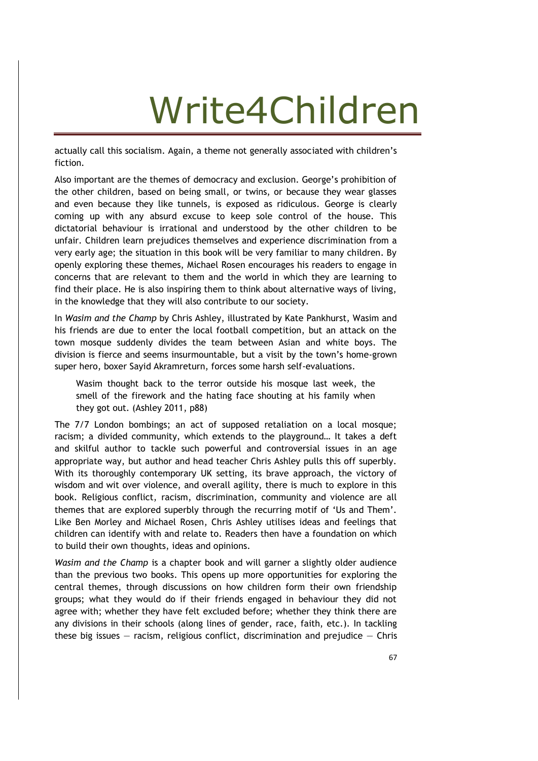actually call this socialism. Again, a theme not generally associated with children's fiction.

Also important are the themes of democracy and exclusion. George's prohibition of the other children, based on being small, or twins, or because they wear glasses and even because they like tunnels, is exposed as ridiculous. George is clearly coming up with any absurd excuse to keep sole control of the house. This dictatorial behaviour is irrational and understood by the other children to be unfair. Children learn prejudices themselves and experience discrimination from a very early age; the situation in this book will be very familiar to many children. By openly exploring these themes, Michael Rosen encourages his readers to engage in concerns that are relevant to them and the world in which they are learning to find their place. He is also inspiring them to think about alternative ways of living, in the knowledge that they will also contribute to our society.

In *Wasim and the Champ* by Chris Ashley, illustrated by Kate Pankhurst, Wasim and his friends are due to enter the local football competition, but an attack on the town mosque suddenly divides the team between Asian and white boys. The division is fierce and seems insurmountable, but a visit by the town's home-grown super hero, boxer Sayid Akramreturn, forces some harsh self-evaluations.

Wasim thought back to the terror outside his mosque last week, the smell of the firework and the hating face shouting at his family when they got out. (Ashley 2011, p88)

The 7/7 London bombings; an act of supposed retaliation on a local mosque; racism; a divided community, which extends to the playground… It takes a deft and skilful author to tackle such powerful and controversial issues in an age appropriate way, but author and head teacher Chris Ashley pulls this off superbly. With its thoroughly contemporary UK setting, its brave approach, the victory of wisdom and wit over violence, and overall agility, there is much to explore in this book. Religious conflict, racism, discrimination, community and violence are all themes that are explored superbly through the recurring motif of 'Us and Them'. Like Ben Morley and Michael Rosen, Chris Ashley utilises ideas and feelings that children can identify with and relate to. Readers then have a foundation on which to build their own thoughts, ideas and opinions.

*Wasim and the Champ* is a chapter book and will garner a slightly older audience than the previous two books. This opens up more opportunities for exploring the central themes, through discussions on how children form their own friendship groups; what they would do if their friends engaged in behaviour they did not agree with; whether they have felt excluded before; whether they think there are any divisions in their schools (along lines of gender, race, faith, etc.). In tackling these big issues  $-$  racism, religious conflict, discrimination and prejudice  $-$  Chris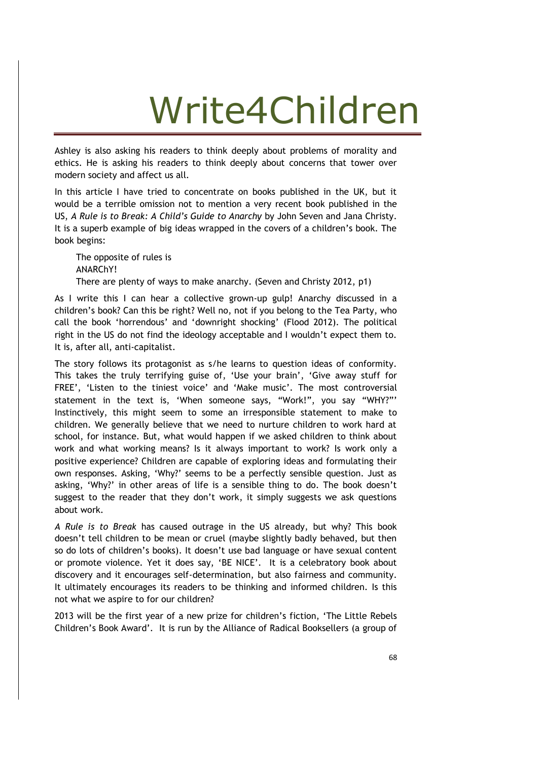Ashley is also asking his readers to think deeply about problems of morality and ethics. He is asking his readers to think deeply about concerns that tower over modern society and affect us all.

In this article I have tried to concentrate on books published in the UK, but it would be a terrible omission not to mention a very recent book published in the US, *A Rule is to Break: A Child's Guide to Anarchy* by John Seven and Jana Christy. It is a superb example of big ideas wrapped in the covers of a children's book. The book begins:

The opposite of rules is ANARChY! There are plenty of ways to make anarchy. (Seven and Christy 2012, p1)

As I write this I can hear a collective grown-up gulp! Anarchy discussed in a children's book? Can this be right? Well no, not if you belong to the Tea Party, who call the book 'horrendous' and 'downright shocking' (Flood 2012). The political right in the US do not find the ideology acceptable and I wouldn't expect them to. It is, after all, anti-capitalist.

The story follows its protagonist as s/he learns to question ideas of conformity. This takes the truly terrifying guise of, 'Use your brain', 'Give away stuff for FREE', 'Listen to the tiniest voice' and 'Make music'. The most controversial statement in the text is, 'When someone says, "Work!", you say "WHY?"' Instinctively, this might seem to some an irresponsible statement to make to children. We generally believe that we need to nurture children to work hard at school, for instance. But, what would happen if we asked children to think about work and what working means? Is it always important to work? Is work only a positive experience? Children are capable of exploring ideas and formulating their own responses. Asking, 'Why?' seems to be a perfectly sensible question. Just as asking, 'Why?' in other areas of life is a sensible thing to do. The book doesn't suggest to the reader that they don't work, it simply suggests we ask questions about work.

*A Rule is to Break* has caused outrage in the US already, but why? This book doesn't tell children to be mean or cruel (maybe slightly badly behaved, but then so do lots of children's books). It doesn't use bad language or have sexual content or promote violence. Yet it does say, 'BE NICE'. It is a celebratory book about discovery and it encourages self-determination, but also fairness and community. It ultimately encourages its readers to be thinking and informed children. Is this not what we aspire to for our children?

2013 will be the first year of a new prize for children's fiction, 'The Little Rebels Children's Book Award'. It is run by the Alliance of Radical Booksellers (a group of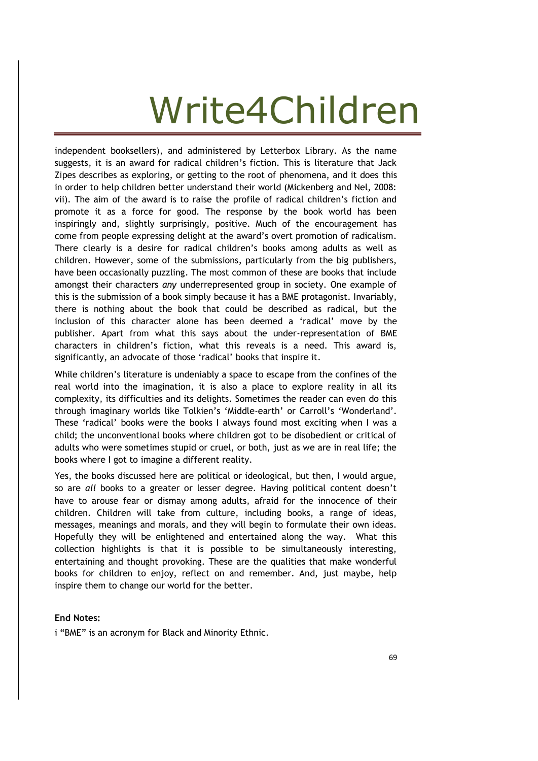independent booksellers), and administered by Letterbox Library. As the name suggests, it is an award for radical children's fiction. This is literature that Jack Zipes describes as exploring, or getting to the root of phenomena, and it does this in order to help children better understand their world (Mickenberg and Nel, 2008: vii). The aim of the award is to raise the profile of radical children's fiction and promote it as a force for good. The response by the book world has been inspiringly and, slightly surprisingly, positive. Much of the encouragement has come from people expressing delight at the award's overt promotion of radicalism. There clearly is a desire for radical children's books among adults as well as children. However, some of the submissions, particularly from the big publishers, have been occasionally puzzling. The most common of these are books that include amongst their characters *any* underrepresented group in society. One example of this is the submission of a book simply because it has a BME protagonist. Invariably, there is nothing about the book that could be described as radical, but the inclusion of this character alone has been deemed a 'radical' move by the publisher. Apart from what this says about the under-representation of BME characters in children's fiction, what this reveals is a need. This award is, significantly, an advocate of those 'radical' books that inspire it.

While children's literature is undeniably a space to escape from the confines of the real world into the imagination, it is also a place to explore reality in all its complexity, its difficulties and its delights. Sometimes the reader can even do this through imaginary worlds like Tolkien's 'Middle-earth' or Carroll's 'Wonderland'. These 'radical' books were the books I always found most exciting when I was a child; the unconventional books where children got to be disobedient or critical of adults who were sometimes stupid or cruel, or both, just as we are in real life; the books where I got to imagine a different reality.

Yes, the books discussed here are political or ideological, but then, I would argue, so are *all* books to a greater or lesser degree. Having political content doesn't have to arouse fear or dismay among adults, afraid for the innocence of their children. Children will take from culture, including books, a range of ideas, messages, meanings and morals, and they will begin to formulate their own ideas. Hopefully they will be enlightened and entertained along the way. What this collection highlights is that it is possible to be simultaneously interesting, entertaining and thought provoking. These are the qualities that make wonderful books for children to enjoy, reflect on and remember. And, just maybe, help inspire them to change our world for the better.

#### **End Notes:**

i "BME" is an acronym for Black and Minority Ethnic.